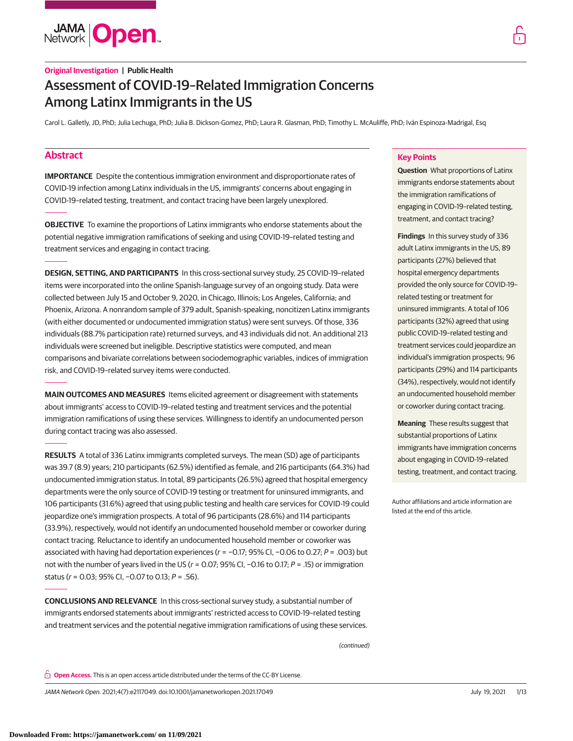**JAMA Open** 

Carol L. Galletly, JD, PhD; Julia Lechuga, PhD; Julia B. Dickson-Gomez, PhD; Laura R. Glasman, PhD; Timothy L. McAuliffe, PhD; Iván Espinoza-Madrigal, Esq

# **Abstract**

**IMPORTANCE** Despite the contentious immigration environment and disproportionate rates of COVID-19 infection among Latinx individuals in the US, immigrants' concerns about engaging in COVID-19–related testing, treatment, and contact tracing have been largely unexplored.

**OBJECTIVE** To examine the proportions of Latinx immigrants who endorse statements about the potential negative immigration ramifications of seeking and using COVID-19–related testing and treatment services and engaging in contact tracing.

**DESIGN, SETTING, AND PARTICIPANTS** In this cross-sectional survey study, 25 COVID-19–related items were incorporated into the online Spanish-language survey of an ongoing study. Data were collected between July 15 and October 9, 2020, in Chicago, Illinois; Los Angeles, California; and Phoenix, Arizona. A nonrandom sample of 379 adult, Spanish-speaking, noncitizen Latinx immigrants (with either documented or undocumented immigration status) were sent surveys. Of those, 336 individuals (88.7% participation rate) returned surveys, and 43 individuals did not. An additional 213 individuals were screened but ineligible. Descriptive statistics were computed, and mean comparisons and bivariate correlations between sociodemographic variables, indices of immigration risk, and COVID-19–related survey items were conducted.

**MAIN OUTCOMES AND MEASURES** Items elicited agreement or disagreement with statements about immigrants' access to COVID-19–related testing and treatment services and the potential immigration ramifications of using these services. Willingness to identify an undocumented person during contact tracing was also assessed.

**RESULTS** A total of 336 Latinx immigrants completed surveys. The mean (SD) age of participants was 39.7 (8.9) years; 210 participants (62.5%) identified as female, and 216 participants (64.3%) had undocumented immigration status. In total, 89 participants (26.5%) agreed that hospital emergency departments were the only source of COVID-19 testing or treatment for uninsured immigrants, and 106 participants (31.6%) agreed that using public testing and health care services for COVID-19 could jeopardize one's immigration prospects. A total of 96 participants (28.6%) and 114 participants (33.9%), respectively, would not identify an undocumented household member or coworker during contact tracing. Reluctance to identify an undocumented household member or coworker was associated with having had deportation experiences ( $r = -0.17$ ; 95% CI, -0.06 to 0.27; P = .003) but not with the number of years lived in the US (r = 0.07; 95% CI, -0.16 to 0.17; P = .15) or immigration status (r = 0.03; 95% CI, −0.07 to 0.13; P = .56).

**CONCLUSIONS AND RELEVANCE** In this cross-sectional survey study, a substantial number of immigrants endorsed statements about immigrants' restricted access to COVID-19–related testing and treatment services and the potential negative immigration ramifications of using these services.

(continued)

**Open Access.** This is an open access article distributed under the terms of the CC-BY License.

JAMA Network Open. 2021;4(7):e2117049. doi:10.1001/jamanetworkopen.2021.17049 (Reprinted) July 19, 2021 1/13

## **Key Points**

**Question** What proportions of Latinx immigrants endorse statements about the immigration ramifications of engaging in COVID-19–related testing, treatment, and contact tracing?

**Findings** In this survey study of 336 adult Latinx immigrants in the US, 89 participants (27%) believed that hospital emergency departments provided the only source for COVID-19– related testing or treatment for uninsured immigrants. A total of 106 participants (32%) agreed that using public COVID-19–related testing and treatment services could jeopardize an individual's immigration prospects; 96 participants (29%) and 114 participants (34%), respectively, would not identify an undocumented household member or coworker during contact tracing.

**Meaning** These results suggest that substantial proportions of Latinx immigrants have immigration concerns about engaging in COVID-19–related testing, treatment, and contact tracing.

Author affiliations and article information are listed at the end of this article.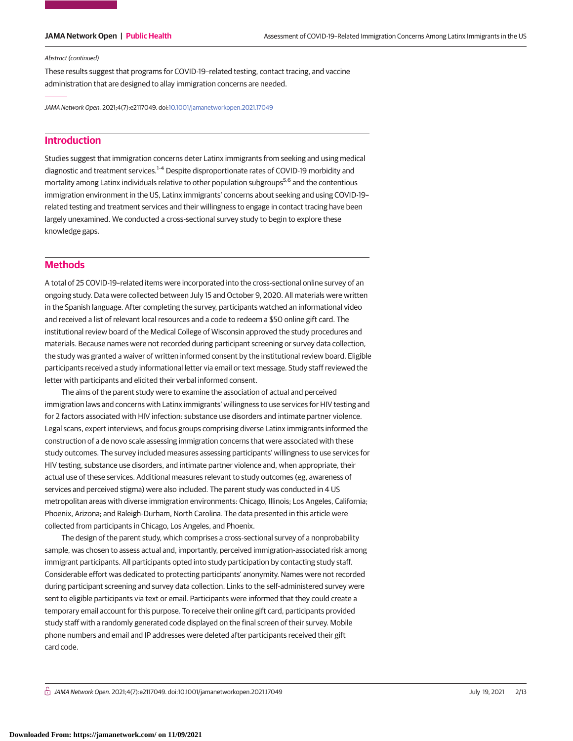### Abstract (continued)

These results suggest that programs for COVID-19–related testing, contact tracing, and vaccine administration that are designed to allay immigration concerns are needed.

JAMA Network Open. 2021;4(7):e2117049. doi[:10.1001/jamanetworkopen.2021.17049](https://jama.jamanetwork.com/article.aspx?doi=10.1001/jamanetworkopen.2021.17049&utm_campaign=articlePDF%26utm_medium=articlePDFlink%26utm_source=articlePDF%26utm_content=jamanetworkopen.2021.17049)

# **Introduction**

Studies suggest that immigration concerns deter Latinx immigrants from seeking and using medical diagnostic and treatment services.<sup>1-4</sup> Despite disproportionate rates of COVID-19 morbidity and mortality among Latinx individuals relative to other population subgroups<sup>5,6</sup> and the contentious immigration environment in the US, Latinx immigrants' concerns about seeking and using COVID-19– related testing and treatment services and their willingness to engage in contact tracing have been largely unexamined. We conducted a cross-sectional survey study to begin to explore these knowledge gaps.

## **Methods**

A total of 25 COVID-19–related items were incorporated into the cross-sectional online survey of an ongoing study. Data were collected between July 15 and October 9, 2020. All materials were written in the Spanish language. After completing the survey, participants watched an informational video and received a list of relevant local resources and a code to redeem a \$50 online gift card. The institutional review board of the Medical College of Wisconsin approved the study procedures and materials. Because names were not recorded during participant screening or survey data collection, the study was granted a waiver of written informed consent by the institutional review board. Eligible participants received a study informational letter via email or text message. Study staff reviewed the letter with participants and elicited their verbal informed consent.

The aims of the parent study were to examine the association of actual and perceived immigration laws and concerns with Latinx immigrants' willingness to use services for HIV testing and for 2 factors associated with HIV infection: substance use disorders and intimate partner violence. Legal scans, expert interviews, and focus groups comprising diverse Latinx immigrants informed the construction of a de novo scale assessing immigration concerns that were associated with these study outcomes. The survey included measures assessing participants' willingness to use services for HIV testing, substance use disorders, and intimate partner violence and, when appropriate, their actual use of these services. Additional measures relevant to study outcomes (eg, awareness of services and perceived stigma) were also included. The parent study was conducted in 4 US metropolitan areas with diverse immigration environments: Chicago, Illinois; Los Angeles, California; Phoenix, Arizona; and Raleigh-Durham, North Carolina. The data presented in this article were collected from participants in Chicago, Los Angeles, and Phoenix.

The design of the parent study, which comprises a cross-sectional survey of a nonprobability sample, was chosen to assess actual and, importantly, perceived immigration-associated risk among immigrant participants. All participants opted into study participation by contacting study staff. Considerable effort was dedicated to protecting participants' anonymity. Names were not recorded during participant screening and survey data collection. Links to the self-administered survey were sent to eligible participants via text or email. Participants were informed that they could create a temporary email account for this purpose. To receive their online gift card, participants provided study staff with a randomly generated code displayed on the final screen of their survey. Mobile phone numbers and email and IP addresses were deleted after participants received their gift card code.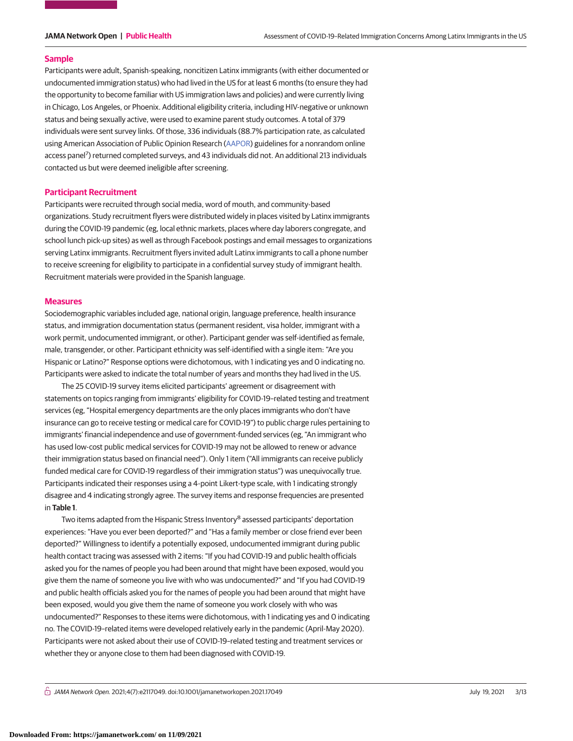## **Sample**

Participants were adult, Spanish-speaking, noncitizen Latinx immigrants (with either documented or undocumented immigration status) who had lived in the US for at least 6 months (to ensure they had the opportunity to become familiar with US immigration laws and policies) and were currently living in Chicago, Los Angeles, or Phoenix. Additional eligibility criteria, including HIV-negative or unknown status and being sexually active, were used to examine parent study outcomes. A total of 379 individuals were sent survey links. Of those, 336 individuals (88.7% participation rate, as calculated using American Association of Public Opinion Research [\(AAPOR\)](http://www.aapor.org/Publications-Media/AAPOR-Journals/Standard-Definitions.aspx) guidelines for a nonrandom online access panel<sup>7</sup>) returned completed surveys, and 43 individuals did not. An additional 213 individuals contacted us but were deemed ineligible after screening.

### **Participant Recruitment**

Participants were recruited through social media, word of mouth, and community-based organizations. Study recruitment flyers were distributed widely in places visited by Latinx immigrants during the COVID-19 pandemic (eg, local ethnic markets, places where day laborers congregate, and school lunch pick-up sites) as well as through Facebook postings and email messages to organizations serving Latinx immigrants. Recruitment flyers invited adult Latinx immigrants to call a phone number to receive screening for eligibility to participate in a confidential survey study of immigrant health. Recruitment materials were provided in the Spanish language.

### **Measures**

Sociodemographic variables included age, national origin, language preference, health insurance status, and immigration documentation status (permanent resident, visa holder, immigrant with a work permit, undocumented immigrant, or other). Participant gender was self-identified as female, male, transgender, or other. Participant ethnicity was self-identified with a single item: "Are you Hispanic or Latino?" Response options were dichotomous, with 1 indicating yes and 0 indicating no. Participants were asked to indicate the total number of years and months they had lived in the US.

The 25 COVID-19 survey items elicited participants' agreement or disagreement with statements on topics ranging from immigrants' eligibility for COVID-19–related testing and treatment services (eg, "Hospital emergency departments are the only places immigrants who don't have insurance can go to receive testing or medical care for COVID-19") to public charge rules pertaining to immigrants' financial independence and use of government-funded services (eg, "An immigrant who has used low-cost public medical services for COVID-19 may not be allowed to renew or advance their immigration status based on financial need"). Only 1 item ("All immigrants can receive publicly funded medical care for COVID-19 regardless of their immigration status") was unequivocally true. Participants indicated their responses using a 4-point Likert-type scale, with 1 indicating strongly disagree and 4 indicating strongly agree. The survey items and response frequencies are presented in **Table 1**.

Two items adapted from the Hispanic Stress Inventory<sup>8</sup> assessed participants' deportation experiences: "Have you ever been deported?" and "Has a family member or close friend ever been deported?" Willingness to identify a potentially exposed, undocumented immigrant during public health contact tracing was assessed with 2 items: "If you had COVID-19 and public health officials asked you for the names of people you had been around that might have been exposed, would you give them the name of someone you live with who was undocumented?" and "If you had COVID-19 and public health officials asked you for the names of people you had been around that might have been exposed, would you give them the name of someone you work closely with who was undocumented?" Responses to these items were dichotomous, with 1 indicating yes and 0 indicating no. The COVID-19–related items were developed relatively early in the pandemic (April-May 2020). Participants were not asked about their use of COVID-19–related testing and treatment services or whether they or anyone close to them had been diagnosed with COVID-19.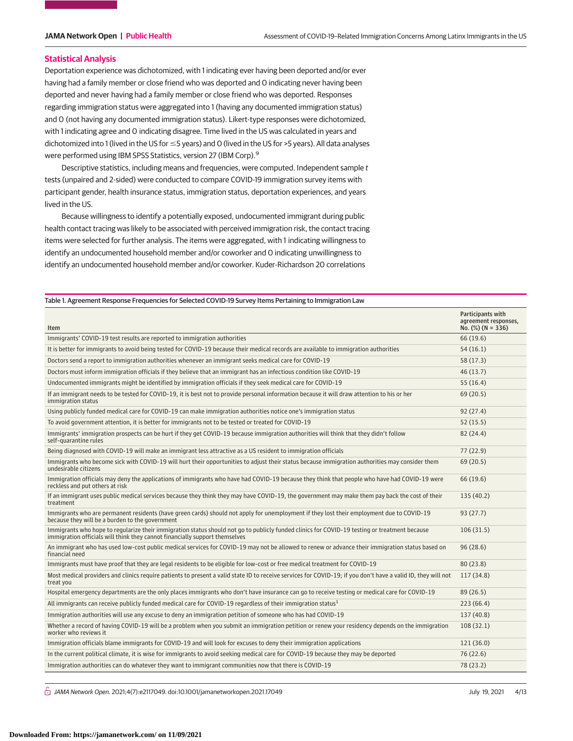### **Statistical Analysis**

Deportation experience was dichotomized, with 1 indicating ever having been deported and/or ever having had a family member or close friend who was deported and 0 indicating never having been deported and never having had a family member or close friend who was deported. Responses regarding immigration status were aggregated into 1 (having any documented immigration status) and 0 (not having any documented immigration status). Likert-type responses were dichotomized, with 1 indicating agree and 0 indicating disagree. Time lived in the US was calculated in years and dichotomized into 1 (lived in the US for ≤5 years) and O (lived in the US for >5 years). All data analyses were performed using IBM SPSS Statistics, version 27 (IBM Corp).<sup>9</sup>

Descriptive statistics, including means and frequencies, were computed. Independent sample t tests (unpaired and 2-sided) were conducted to compare COVID-19 immigration survey items with participant gender, health insurance status, immigration status, deportation experiences, and years lived in the US.

Because willingness to identify a potentially exposed, undocumented immigrant during public health contact tracing was likely to be associated with perceived immigration risk, the contact tracing items were selected for further analysis. The items were aggregated, with 1 indicating willingness to identify an undocumented household member and/or coworker and 0 indicating unwillingness to identify an undocumented household member and/or coworker. Kuder-Richardson 20 correlations

### Table 1. Agreement Response Frequencies for Selected COVID-19 Survey Items Pertaining to Immigration Law

| Item                                                                                                                                                                                                                         | Participants with<br>agreement responses,<br>No. $(\%)$ (N = 336) |
|------------------------------------------------------------------------------------------------------------------------------------------------------------------------------------------------------------------------------|-------------------------------------------------------------------|
| Immigrants' COVID-19 test results are reported to immigration authorities                                                                                                                                                    | 66 (19.6)                                                         |
| It is better for immigrants to avoid being tested for COVID-19 because their medical records are available to immigration authorities                                                                                        | 54(16.1)                                                          |
| Doctors send a report to immigration authorities whenever an immigrant seeks medical care for COVID-19                                                                                                                       | 58(17.3)                                                          |
| Doctors must inform immigration officials if they believe that an immigrant has an infectious condition like COVID-19                                                                                                        | 46(13.7)                                                          |
| Undocumented immigrants might be identified by immigration officials if they seek medical care for COVID-19                                                                                                                  | 55(16.4)                                                          |
| If an immigrant needs to be tested for COVID-19, it is best not to provide personal information because it will draw attention to his or her<br>immigration status                                                           | 69(20.5)                                                          |
| Using publicly funded medical care for COVID-19 can make immigration authorities notice one's immigration status                                                                                                             | 92(27.4)                                                          |
| To avoid government attention, it is better for immigrants not to be tested or treated for COVID-19                                                                                                                          | 52(15.5)                                                          |
| Immigrants' immigration prospects can be hurt if they get COVID-19 because immigration authorities will think that they didn't follow<br>self-quarantine rules                                                               | 82 (24.4)                                                         |
| Being diagnosed with COVID-19 will make an immigrant less attractive as a US resident to immigration officials                                                                                                               | 77(22.9)                                                          |
| Immigrants who become sick with COVID-19 will hurt their opportunities to adjust their status because immigration authorities may consider them<br>undesirable citizens                                                      | 69(20.5)                                                          |
| Immigration officials may deny the applications of immigrants who have had COVID-19 because they think that people who have had COVID-19 were<br>reckless and put others at risk                                             | 66 (19.6)                                                         |
| If an immigrant uses public medical services because they think they may have COVID-19, the government may make them pay back the cost of their<br>treatment                                                                 | 135(40.2)                                                         |
| Immigrants who are permanent residents (have green cards) should not apply for unemployment if they lost their employment due to COVID-19<br>because they will be a burden to the government                                 | 93(27.7)                                                          |
| Immigrants who hope to regularize their immigration status should not go to publicly funded clinics for COVID-19 testing or treatment because<br>immigration officials will think they cannot financially support themselves | 106(31.5)                                                         |
| An immigrant who has used low-cost public medical services for COVID-19 may not be allowed to renew or advance their immigration status based on<br>financial need                                                           | 96(28.6)                                                          |
| Immigrants must have proof that they are legal residents to be eligible for low-cost or free medical treatment for COVID-19                                                                                                  | 80 (23.8)                                                         |
| Most medical providers and clinics require patients to present a valid state ID to receive services for COVID-19; if you don't have a valid ID, they will not<br>treat you                                                   | 117(34.8)                                                         |
| Hospital emergency departments are the only places immigrants who don't have insurance can go to receive testing or medical care for COVID-19                                                                                | 89 (26.5)                                                         |
| All immigrants can receive publicly funded medical care for COVID-19 regardless of their immigration status <sup>1</sup>                                                                                                     | 223(66.4)                                                         |
| Immigration authorities will use any excuse to deny an immigration petition of someone who has had COVID-19                                                                                                                  | 137(40.8)                                                         |
| Whether a record of having COVID-19 will be a problem when you submit an immigration petition or renew your residency depends on the immigration<br>worker who reviews it                                                    | 108(32.1)                                                         |
| Immigration officials blame immigrants for COVID-19 and will look for excuses to deny their immigration applications                                                                                                         | 121 (36.0)                                                        |
| In the current political climate, it is wise for immigrants to avoid seeking medical care for COVID-19 because they may be deported                                                                                          | 76 (22.6)                                                         |
| Immigration authorities can do whatever they want to immigrant communities now that there is COVID-19                                                                                                                        | 78 (23.2)                                                         |

 $\bigcap$  JAMA Network Open. 2021;4(7):e2117049. doi:10.1001/jamanetworkopen.2021.17049  $\bigcap$  July 19, 2021 4/13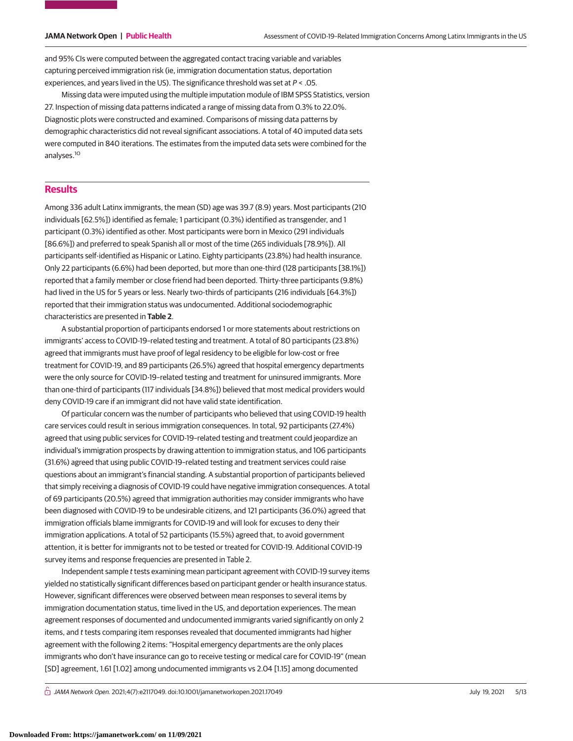and 95% CIs were computed between the aggregated contact tracing variable and variables capturing perceived immigration risk (ie, immigration documentation status, deportation experiences, and years lived in the US). The significance threshold was set at  $P < .05$ .

Missing data were imputed using the multiple imputation module of IBM SPSS Statistics, version 27. Inspection of missing data patterns indicated a range of missing data from 0.3% to 22.0%. Diagnostic plots were constructed and examined. Comparisons of missing data patterns by demographic characteristics did not reveal significant associations. A total of 40 imputed data sets were computed in 840 iterations. The estimates from the imputed data sets were combined for the analyses.<sup>10</sup>

## **Results**

Among 336 adult Latinx immigrants, the mean (SD) age was 39.7 (8.9) years. Most participants (210 individuals [62.5%]) identified as female; 1 participant (0.3%) identified as transgender, and 1 participant (0.3%) identified as other. Most participants were born in Mexico (291 individuals [86.6%]) and preferred to speak Spanish all or most of the time (265 individuals [78.9%]). All participants self-identified as Hispanic or Latino. Eighty participants (23.8%) had health insurance. Only 22 participants (6.6%) had been deported, but more than one-third (128 participants [38.1%]) reported that a family member or close friend had been deported. Thirty-three participants (9.8%) had lived in the US for 5 years or less. Nearly two-thirds of participants (216 individuals [64.3%]) reported that their immigration status was undocumented. Additional sociodemographic characteristics are presented in **Table 2**.

A substantial proportion of participants endorsed 1 or more statements about restrictions on immigrants' access to COVID-19–related testing and treatment. A total of 80 participants (23.8%) agreed that immigrants must have proof of legal residency to be eligible for low-cost or free treatment for COVID-19, and 89 participants (26.5%) agreed that hospital emergency departments were the only source for COVID-19–related testing and treatment for uninsured immigrants. More than one-third of participants (117 individuals [34.8%]) believed that most medical providers would deny COVID-19 care if an immigrant did not have valid state identification.

Of particular concern was the number of participants who believed that using COVID-19 health care services could result in serious immigration consequences. In total, 92 participants (27.4%) agreed that using public services for COVID-19–related testing and treatment could jeopardize an individual's immigration prospects by drawing attention to immigration status, and 106 participants (31.6%) agreed that using public COVID-19–related testing and treatment services could raise questions about an immigrant's financial standing. A substantial proportion of participants believed that simply receiving a diagnosis of COVID-19 could have negative immigration consequences. A total of 69 participants (20.5%) agreed that immigration authorities may consider immigrants who have been diagnosed with COVID-19 to be undesirable citizens, and 121 participants (36.0%) agreed that immigration officials blame immigrants for COVID-19 and will look for excuses to deny their immigration applications. A total of 52 participants (15.5%) agreed that, to avoid government attention, it is better for immigrants not to be tested or treated for COVID-19. Additional COVID-19 survey items and response frequencies are presented in Table 2.

Independent sample t tests examining mean participant agreement with COVID-19 survey items yielded no statistically significant differences based on participant gender or health insurance status. However, significant differences were observed between mean responses to several items by immigration documentation status, time lived in the US, and deportation experiences. The mean agreement responses of documented and undocumented immigrants varied significantly on only 2 items, and t tests comparing item responses revealed that documented immigrants had higher agreement with the following 2 items: "Hospital emergency departments are the only places immigrants who don't have insurance can go to receive testing or medical care for COVID-19" (mean [SD] agreement, 1.61 [1.02] among undocumented immigrants vs 2.04 [1.15] among documented

 $\bigcap$  JAMA Network Open. 2021;4(7):e2117049. doi:10.1001/jamanetworkopen.2021.17049  $\bigcap$  July 19, 2021 5/13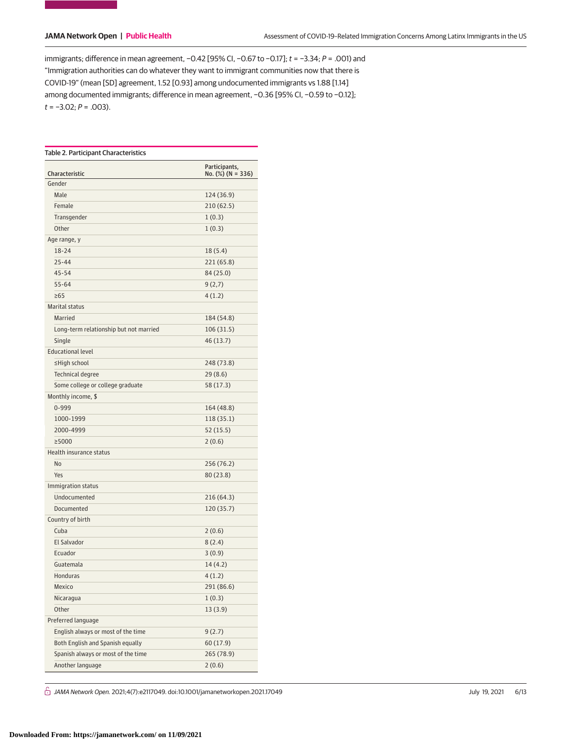immigrants; difference in mean agreement, −0.42 [95% CI, −0.67 to −0.17]; t = −3.34; P = .001) and "Immigration authorities can do whatever they want to immigrant communities now that there is COVID-19" (mean [SD] agreement, 1.52 [0.93] among undocumented immigrants vs 1.88 [1.14] among documented immigrants; difference in mean agreement, −0.36 [95% CI, −0.59 to −0.12];  $t = -3.02; P = .003$ ).

|                                        | Participants,           |
|----------------------------------------|-------------------------|
| Characteristic<br>Gender               | No. $(\%)$ (N = 336)    |
| Male                                   |                         |
| Female                                 | 124 (36.9)<br>210(62.5) |
| Transgender                            |                         |
| Other                                  | 1(0.3)                  |
|                                        | 1(0.3)                  |
| Age range, y<br>18-24                  | 18(5.4)                 |
| 25-44                                  |                         |
| $45 - 54$                              | 221 (65.8)              |
| $55 - 64$                              | 84 (25.0)               |
| $\geq 65$                              | 9(2,7)                  |
|                                        | 4(1.2)                  |
| Marital status                         |                         |
| Married                                | 184 (54.8)              |
| Long-term relationship but not married | 106(31.5)               |
| Single<br><b>Educational level</b>     | 46 (13.7)               |
| ≤High school                           |                         |
|                                        | 248 (73.8)              |
| <b>Technical degree</b>                | 29 (8.6)                |
| Some college or college graduate       | 58 (17.3)               |
| Monthly income, \$                     |                         |
| 0-999                                  | 164 (48.8)              |
| 1000-1999                              | 118 (35.1)              |
| 2000-4999                              | 52 (15.5)               |
| ≥5000                                  | 2(0.6)                  |
| Health insurance status                |                         |
| No                                     | 256 (76.2)              |
| Yes                                    | 80(23.8)                |
| Immigration status                     |                         |
| Undocumented                           | 216 (64.3)              |
| Documented                             | 120 (35.7)              |
| Country of birth                       |                         |
| Cuba                                   | 2(0.6)                  |
| <b>El Salvador</b>                     | 8(2.4)                  |
| Ecuador                                | 3(0.9)                  |
| Guatemala                              | 14(4.2)                 |
| Honduras                               | 4(1.2)                  |
| Mexico                                 | 291 (86.6)              |
| Nicaragua                              | 1(0.3)                  |
| Other                                  | 13(3.9)                 |
| Preferred language                     |                         |
| English always or most of the time     | 9(2.7)                  |
| Both English and Spanish equally       | 60(17.9)                |
| Spanish always or most of the time     | 265 (78.9)              |
| Another language                       | 2(0.6)                  |

 $\hat{\Box}$  JAMA Network Open. 2021;4(7):e2117049. doi:10.1001/jamanetworkopen.2021.17049 (Berlined) July 19, 2021 6/13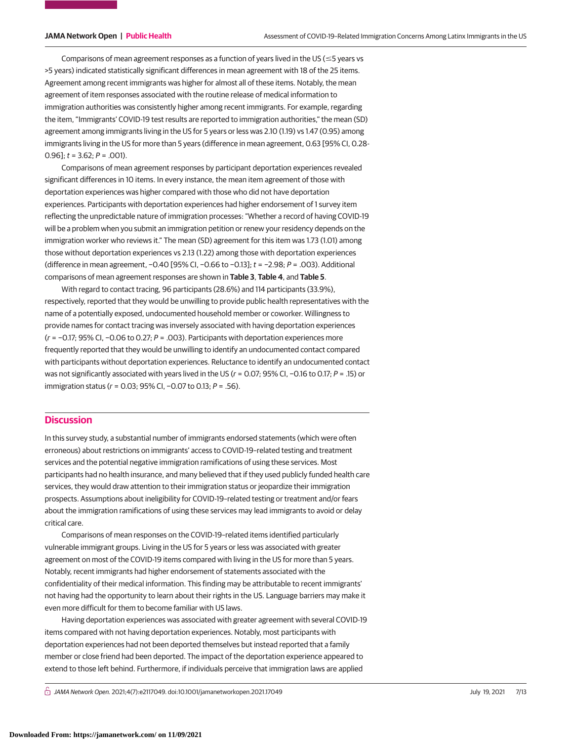Comparisons of mean agreement responses as a function of years lived in the US ( $\leq$ 5 years vs >5 years) indicated statistically significant differences in mean agreement with 18 of the 25 items. Agreement among recent immigrants was higher for almost all of these items. Notably, the mean agreement of item responses associated with the routine release of medical information to immigration authorities was consistently higher among recent immigrants. For example, regarding the item, "Immigrants' COVID-19 test results are reported to immigration authorities," the mean (SD) agreement among immigrants living in the US for 5 years or less was 2.10 (1.19) vs 1.47 (0.95) among immigrants living in the US for more than 5 years (difference in mean agreement, 0.63 [95% CI, 0.28- 0.96];  $t = 3.62$ ;  $P = .001$ ).

Comparisons of mean agreement responses by participant deportation experiences revealed significant differences in 10 items. In every instance, the mean item agreement of those with deportation experiences was higher compared with those who did not have deportation experiences. Participants with deportation experiences had higher endorsement of 1 survey item reflecting the unpredictable nature of immigration processes: "Whether a record of having COVID-19 will be a problem when you submit an immigration petition or renew your residency depends on the immigration worker who reviews it." The mean (SD) agreement for this item was 1.73 (1.01) among those without deportation experiences vs 2.13 (1.22) among those with deportation experiences (difference in mean agreement, −0.40 [95% CI, −0.66 to −0.13]; t = −2.98; P = .003). Additional comparisons of mean agreement responses are shown in **Table 3**, **Table 4**, and **Table 5**.

With regard to contact tracing, 96 participants (28.6%) and 114 participants (33.9%), respectively, reported that they would be unwilling to provide public health representatives with the name of a potentially exposed, undocumented household member or coworker. Willingness to provide names for contact tracing was inversely associated with having deportation experiences  $(r = -0.17; 95\%$  CI,  $-0.06$  to 0.27; P = .003). Participants with deportation experiences more frequently reported that they would be unwilling to identify an undocumented contact compared with participants without deportation experiences. Reluctance to identify an undocumented contact was not significantly associated with years lived in the US (r = 0.07; 95% CI, −0.16 to 0.17; P = .15) or immigration status (r = 0.03; 95% CI, −0.07 to 0.13; P = .56).

## **Discussion**

In this survey study, a substantial number of immigrants endorsed statements (which were often erroneous) about restrictions on immigrants' access to COVID-19–related testing and treatment services and the potential negative immigration ramifications of using these services. Most participants had no health insurance, and many believed that if they used publicly funded health care services, they would draw attention to their immigration status or jeopardize their immigration prospects. Assumptions about ineligibility for COVID-19–related testing or treatment and/or fears about the immigration ramifications of using these services may lead immigrants to avoid or delay critical care.

Comparisons of mean responses on the COVID-19–related items identified particularly vulnerable immigrant groups. Living in the US for 5 years or less was associated with greater agreement on most of the COVID-19 items compared with living in the US for more than 5 years. Notably, recent immigrants had higher endorsement of statements associated with the confidentiality of their medical information. This finding may be attributable to recent immigrants' not having had the opportunity to learn about their rights in the US. Language barriers may make it even more difficult for them to become familiar with US laws.

Having deportation experiences was associated with greater agreement with several COVID-19 items compared with not having deportation experiences. Notably, most participants with deportation experiences had not been deported themselves but instead reported that a family member or close friend had been deported. The impact of the deportation experience appeared to extend to those left behind. Furthermore, if individuals perceive that immigration laws are applied

 $\bigcap$  JAMA Network Open. 2021;4(7):e2117049. doi:10.1001/jamanetworkopen.2021.17049  $\bigcap$  July 19, 2021 7/13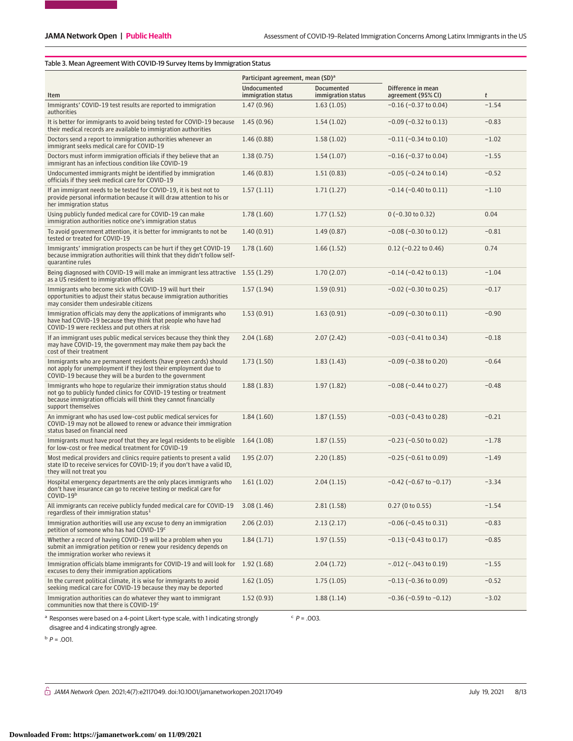## Table 3. Mean Agreement With COVID-19 Survey Items by Immigration Status

|                                                                                                                                                                                                                                    | Participant agreement, mean (SD) <sup>a</sup> |                    |                                                  |                             |  |  |
|------------------------------------------------------------------------------------------------------------------------------------------------------------------------------------------------------------------------------------|-----------------------------------------------|--------------------|--------------------------------------------------|-----------------------------|--|--|
|                                                                                                                                                                                                                                    | <b>Undocumented</b>                           | <b>Documented</b>  | Difference in mean                               |                             |  |  |
| Item                                                                                                                                                                                                                               | immigration status                            | immigration status | agreement (95% CI)<br>$-0.16$ ( $-0.37$ to 0.04) | $\boldsymbol{t}$<br>$-1.54$ |  |  |
| Immigrants' COVID-19 test results are reported to immigration<br>authorities                                                                                                                                                       | 1.47(0.96)                                    | 1.63(1.05)         |                                                  |                             |  |  |
| It is better for immigrants to avoid being tested for COVID-19 because<br>their medical records are available to immigration authorities                                                                                           | 1.45(0.96)                                    | 1.54(1.02)         | $-0.09$ ( $-0.32$ to 0.13)                       | $-0.83$                     |  |  |
| Doctors send a report to immigration authorities whenever an<br>immigrant seeks medical care for COVID-19                                                                                                                          | 1.46(0.88)                                    | 1.58(1.02)         | $-0.11$ ( $-0.34$ to 0.10)                       | $-1.02$                     |  |  |
| Doctors must inform immigration officials if they believe that an<br>immigrant has an infectious condition like COVID-19                                                                                                           | 1.38(0.75)                                    | 1.54(1.07)         | $-0.16$ ( $-0.37$ to 0.04)                       | $-1.55$                     |  |  |
| Undocumented immigrants might be identified by immigration<br>officials if they seek medical care for COVID-19                                                                                                                     | 1.46(0.83)                                    | 1.51(0.83)         | $-0.05$ ( $-0.24$ to 0.14)                       | $-0.52$                     |  |  |
| If an immigrant needs to be tested for COVID-19, it is best not to<br>provide personal information because it will draw attention to his or<br>her immigration status                                                              | 1.57(1.11)                                    | 1.71(1.27)         | $-0.14$ ( $-0.40$ to $0.11$ )                    | $-1.10$                     |  |  |
| Using publicly funded medical care for COVID-19 can make<br>immigration authorities notice one's immigration status                                                                                                                | 1.78(1.60)                                    | 1.77(1.52)         | $0 (-0.30 to 0.32)$                              | 0.04                        |  |  |
| To avoid government attention, it is better for immigrants to not be<br>tested or treated for COVID-19                                                                                                                             | 1.40(0.91)                                    | 1.49(0.87)         | $-0.08$ ( $-0.30$ to $0.12$ )                    | $-0.81$                     |  |  |
| Immigrants' immigration prospects can be hurt if they get COVID-19<br>because immigration authorities will think that they didn't follow self-<br>quarantine rules                                                                 | 1.78(1.60)                                    | 1.66(1.52)         | $0.12$ (-0.22 to 0.46)                           | 0.74                        |  |  |
| Being diagnosed with COVID-19 will make an immigrant less attractive 1.55 (1.29)<br>as a US resident to immigration officials                                                                                                      |                                               | 1.70(2.07)         | $-0.14$ ( $-0.42$ to 0.13)                       | $-1.04$                     |  |  |
| Immigrants who become sick with COVID-19 will hurt their<br>opportunities to adjust their status because immigration authorities<br>may consider them undesirable citizens                                                         | 1.57(1.94)                                    | 1.59(0.91)         | $-0.02$ ( $-0.30$ to 0.25)                       | $-0.17$                     |  |  |
| Immigration officials may deny the applications of immigrants who<br>have had COVID-19 because they think that people who have had<br>COVID-19 were reckless and put others at risk                                                | 1.53(0.91)                                    | 1.63(0.91)         | $-0.09$ ( $-0.30$ to $0.11$ )                    | $-0.90$                     |  |  |
| If an immigrant uses public medical services because they think they<br>may have COVID-19, the government may make them pay back the<br>cost of their treatment                                                                    | 2.04(1.68)                                    | 2.07(2.42)         | $-0.03$ ( $-0.41$ to 0.34)                       | $-0.18$                     |  |  |
| Immigrants who are permanent residents (have green cards) should<br>not apply for unemployment if they lost their employment due to<br>COVID-19 because they will be a burden to the government                                    | 1.73(1.50)                                    | 1.83(1.43)         | $-0.09$ ( $-0.38$ to 0.20)                       | $-0.64$                     |  |  |
| Immigrants who hope to regularize their immigration status should<br>not go to publicly funded clinics for COVID-19 testing or treatment<br>because immigration officials will think they cannot financially<br>support themselves | 1.88(1.83)                                    | 1.97(1.82)         | $-0.08$ ( $-0.44$ to 0.27)                       | $-0.48$                     |  |  |
| An immigrant who has used low-cost public medical services for<br>COVID-19 may not be allowed to renew or advance their immigration<br>status based on financial need                                                              | 1.84(1.60)                                    | 1.87(1.55)         | $-0.03$ ( $-0.43$ to 0.28)                       | $-0.21$                     |  |  |
| Immigrants must have proof that they are legal residents to be eligible<br>for low-cost or free medical treatment for COVID-19                                                                                                     | 1.64(1.08)                                    | 1.87(1.55)         | $-0.23$ ( $-0.50$ to 0.02)                       | $-1.78$                     |  |  |
| Most medical providers and clinics require patients to present a valid<br>state ID to receive services for COVID-19; if you don't have a valid ID,<br>they will not treat you                                                      | 1.95(2.07)                                    | 2.20(1.85)         | $-0.25$ ( $-0.61$ to 0.09)                       | $-1.49$                     |  |  |
| Hospital emergency departments are the only places immigrants who<br>don't have insurance can go to receive testing or medical care for<br>$COVID-19b$                                                                             | 1.61(1.02)                                    | 2.04(1.15)         | $-0.42$ ( $-0.67$ to $-0.17$ )                   | $-3.34$                     |  |  |
| All immigrants can receive publicly funded medical care for COVID-19<br>regardless of their immigration status <sup>1</sup>                                                                                                        | 3.08(1.46)                                    | 2.81(1.58)         | 0.27(0 to 0.55)                                  | $-1.54$                     |  |  |
| Immigration authorities will use any excuse to deny an immigration<br>petition of someone who has had COVID-19 <sup>c</sup>                                                                                                        | 2.06(2.03)                                    | 2.13(2.17)         | $-0.06$ ( $-0.45$ to 0.31)                       | $-0.83$                     |  |  |
| Whether a record of having COVID-19 will be a problem when you<br>submit an immigration petition or renew your residency depends on<br>the immigration worker who reviews it                                                       | 1.84(1.71)                                    | 1.97(1.55)         | $-0.13$ ( $-0.43$ to 0.17)                       | $-0.85$                     |  |  |
| Immigration officials blame immigrants for COVID-19 and will look for<br>excuses to deny their immigration applications                                                                                                            | 1.92(1.68)                                    | 2.04(1.72)         | $-.012$ ( $-.043$ to 0.19)                       | $-1.55$                     |  |  |
| In the current political climate, it is wise for immigrants to avoid<br>seeking medical care for COVID-19 because they may be deported                                                                                             | 1.62(1.05)                                    | 1.75(1.05)         | $-0.13$ ( $-0.36$ to 0.09)                       | $-0.52$                     |  |  |
| Immigration authorities can do whatever they want to immigrant<br>communities now that there is COVID-19c                                                                                                                          | 1.52(0.93)                                    | 1.88(1.14)         | $-0.36$ ( $-0.59$ to $-0.12$ )                   | $-3.02$                     |  |  |
| $P = .003$ .<br>Responses were based on a 4-point Likert-type scale, with 1 indicating strongly                                                                                                                                    |                                               |                    |                                                  |                             |  |  |

disagree and 4 indicating strongly agree.

 $b$   $p = .001$ .

 $\hat{\odot}$  JAMA Network Open. 2021;4(7):e2117049. doi:10.1001/jamanetworkopen.2021.17049 (July 19, 2021 8/13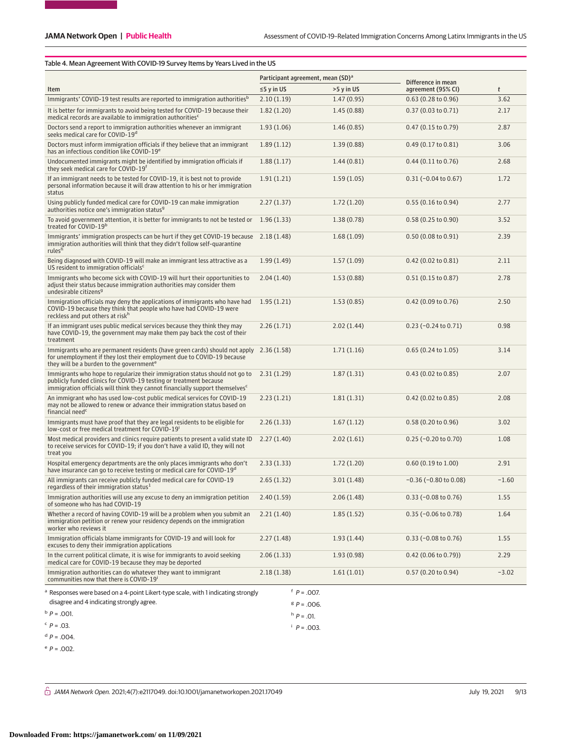## Table 4. Mean Agreement With COVID-19 Survey Items by Years Lived in the US

|                                                                                                                                                                                                                                              | Participant agreement, mean (SD) <sup>a</sup> |            | Difference in mean            |         |  |
|----------------------------------------------------------------------------------------------------------------------------------------------------------------------------------------------------------------------------------------------|-----------------------------------------------|------------|-------------------------------|---------|--|
| Item                                                                                                                                                                                                                                         | $\leq$ 5 y in US                              | >5 y in US | agreement (95% CI)            | t       |  |
| Immigrants' COVID-19 test results are reported to immigration authorities <sup>b</sup>                                                                                                                                                       | 2.10(1.19)                                    | 1.47(0.95) | $0.63$ (0.28 to 0.96)         | 3.62    |  |
| It is better for immigrants to avoid being tested for COVID-19 because their<br>medical records are available to immigration authorities <sup>c</sup>                                                                                        | 1.82(1.20)                                    | 1.45(0.88) | $0.37(0.03 \text{ to } 0.71)$ | 2.17    |  |
| Doctors send a report to immigration authorities whenever an immigrant<br>seeks medical care for COVID-19 <sup>d</sup>                                                                                                                       | 1.93(1.06)                                    | 1.46(0.85) | $0.47$ (0.15 to 0.79)         | 2.87    |  |
| Doctors must inform immigration officials if they believe that an immigrant<br>has an infectious condition like COVID-19 <sup>e</sup>                                                                                                        | 1.89(1.12)                                    | 1.39(0.88) | $0.49(0.17 \text{ to } 0.81)$ | 3.06    |  |
| Undocumented immigrants might be identified by immigration officials if<br>they seek medical care for COVID-19 <sup>f</sup>                                                                                                                  | 1.88(1.17)                                    | 1.44(0.81) | $0.44$ (0.11 to 0.76)         | 2.68    |  |
| If an immigrant needs to be tested for COVID-19, it is best not to provide<br>personal information because it will draw attention to his or her immigration<br>status                                                                        | 1.91(1.21)                                    | 1.59(1.05) | $0.31 (-0.04 to 0.67)$        | 1.72    |  |
| Using publicly funded medical care for COVID-19 can make immigration<br>authorities notice one's immigration status <sup>9</sup>                                                                                                             | 2.27(1.37)                                    | 1.72(1.20) | $0.55(0.16 \text{ to } 0.94)$ | 2.77    |  |
| To avoid government attention, it is better for immigrants to not be tested or<br>treated for COVID-19 <sup>b</sup>                                                                                                                          | 1.96(1.33)                                    | 1.38(0.78) | $0.58(0.25 \text{ to } 0.90)$ | 3.52    |  |
| Immigrants' immigration prospects can be hurt if they get COVID-19 because 2.18 (1.48)<br>immigration authorities will think that they didn't follow self-quarantine<br>rules <sup>h</sup>                                                   |                                               | 1.68(1.09) | 0.50(0.08 to 0.91)            | 2.39    |  |
| Being diagnosed with COVID-19 will make an immigrant less attractive as a<br>US resident to immigration officials <sup>c</sup>                                                                                                               | 1.99(1.49)                                    | 1.57(1.09) | $0.42$ (0.02 to 0.81)         | 2.11    |  |
| Immigrants who become sick with COVID-19 will hurt their opportunities to<br>adjust their status because immigration authorities may consider them<br>undesirable citizens <sup>9</sup>                                                      | 2.04(1.40)                                    | 1.53(0.88) | $0.51(0.15 \text{ to } 0.87)$ | 2.78    |  |
| Immigration officials may deny the applications of immigrants who have had<br>COVID-19 because they think that people who have had COVID-19 were<br>reckless and put others at risk <sup>h</sup>                                             | 1.95(1.21)                                    | 1.53(0.85) | 0.42 (0.09 to 0.76)           | 2.50    |  |
| If an immigrant uses public medical services because they think they may<br>have COVID-19, the government may make them pay back the cost of their<br>treatment                                                                              | 2.26(1.71)                                    | 2.02(1.44) | $0.23$ (-0.24 to 0.71)        | 0.98    |  |
| Immigrants who are permanent residents (have green cards) should not apply 2.36 (1.58)<br>for unemployment if they lost their employment due to COVID-19 because<br>they will be a burden to the government <sup>e</sup>                     |                                               | 1.71(1.16) | $0.65$ (0.24 to 1.05)         | 3.14    |  |
| Immigrants who hope to regularize their immigration status should not go to<br>publicly funded clinics for COVID-19 testing or treatment because<br>immigration officials will think they cannot financially support themselves <sup>c</sup> | 2.31(1.29)                                    | 1.87(1.31) | $0.43$ (0.02 to 0.85)         | 2.07    |  |
| An immigrant who has used low-cost public medical services for COVID-19<br>may not be allowed to renew or advance their immigration status based on<br>financial need <sup>c</sup>                                                           | 2.23(1.21)                                    | 1.81(1.31) | $0.42$ (0.02 to 0.85)         | 2.08    |  |
| Immigrants must have proof that they are legal residents to be eligible for<br>low-cost or free medical treatment for COVID-19 <sup>1</sup>                                                                                                  | 2.26(1.33)                                    | 1.67(1.12) | 0.58(0.20 to 0.96)            | 3.02    |  |
| Most medical providers and clinics require patients to present a valid state ID<br>to receive services for COVID-19; if you don't have a valid ID, they will not<br>treat you                                                                | 2.27(1.40)                                    | 2.02(1.61) | $0.25$ (-0.20 to 0.70)        | 1.08    |  |
| Hospital emergency departments are the only places immigrants who don't<br>have insurance can go to receive testing or medical care for COVID-19 <sup>d</sup>                                                                                | 2.33(1.33)                                    | 1.72(1.20) | $0.60$ (0.19 to 1.00)         | 2.91    |  |
| All immigrants can receive publicly funded medical care for COVID-19<br>regardless of their immigration status $1$                                                                                                                           | 2.65(1.32)                                    | 3.01(1.48) | $-0.36$ ( $-0.80$ to 0.08)    | $-1.60$ |  |
| Immigration authorities will use any excuse to deny an immigration petition<br>of someone who has had COVID-19                                                                                                                               | 2.40(1.59)                                    | 2.06(1.48) | $0.33$ (-0.08 to 0.76)        | 1.55    |  |
| Whether a record of having COVID-19 will be a problem when you submit an<br>immigration petition or renew your residency depends on the immigration<br>worker who reviews it                                                                 | 2.21(1.40)                                    | 1.85(1.52) | $0.35$ (-0.06 to 0.78)        | 1.64    |  |
| Immigration officials blame immigrants for COVID-19 and will look for<br>excuses to deny their immigration applications                                                                                                                      | 2.27(1.48)                                    | 1.93(1.44) | $0.33$ (-0.08 to 0.76)        | 1.55    |  |
| In the current political climate, it is wise for immigrants to avoid seeking<br>medical care for COVID-19 because they may be deported                                                                                                       | 2.06(1.33)                                    | 1.93(0.98) | $0.42$ (0.06 to 0.79))        | 2.29    |  |
| Immigration authorities can do whatever they want to immigrant<br>communities now that there is COVID-19 <sup>i</sup>                                                                                                                        | 2.18(1.38)                                    | 1.61(1.01) | $0.57$ (0.20 to 0.94)         | $-3.02$ |  |
| Responses were based on a 4-point Likert-type scale, with 1 indicating strongly                                                                                                                                                              | $P = .007$ .                                  |            |                               |         |  |
| disagree and 4 indicating strongly agree.                                                                                                                                                                                                    | $B = 0.006$ .                                 |            |                               |         |  |
| $P = .001$ .                                                                                                                                                                                                                                 | $h \cdot P = 0.01$ .                          |            |                               |         |  |
| $P = .03$ .                                                                                                                                                                                                                                  | $P = .003$ .                                  |            |                               |         |  |
| $^{\rm d}$ P = .004.                                                                                                                                                                                                                         |                                               |            |                               |         |  |
| $P = .002$ .                                                                                                                                                                                                                                 |                                               |            |                               |         |  |

 $\hat{\odot}$  JAMA Network Open. 2021;4(7):e2117049. doi:10.1001/jamanetworkopen.2021.17049 (July 19, 2021 9/13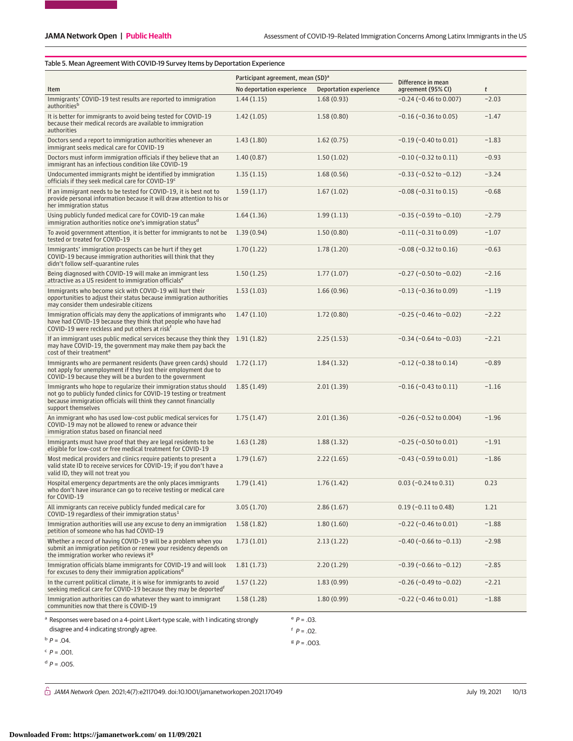## Table 5. Mean Agreement With COVID-19 Survey Items by Deportation Experience

|                                                                                                                                                                                                                                    | Participant agreement, mean (SD) <sup>a</sup> |                        |                                          |         |
|------------------------------------------------------------------------------------------------------------------------------------------------------------------------------------------------------------------------------------|-----------------------------------------------|------------------------|------------------------------------------|---------|
| Item                                                                                                                                                                                                                               | No deportation experience                     | Deportation experience | Difference in mean<br>agreement (95% CI) | t       |
| Immigrants' COVID-19 test results are reported to immigration<br>authorities <sup>b</sup>                                                                                                                                          | 1.44(1.15)                                    | 1.68(0.93)             | $-0.24$ ( $-0.46$ to 0.007)              | $-2.03$ |
| It is better for immigrants to avoid being tested for COVID-19<br>because their medical records are available to immigration<br>authorities                                                                                        | 1.42(1.05)                                    | 1.58(0.80)             | $-0.16$ ( $-0.36$ to 0.05)               | $-1.47$ |
| Doctors send a report to immigration authorities whenever an<br>immigrant seeks medical care for COVID-19                                                                                                                          | 1.43(1.80)                                    | 1.62(0.75)             | $-0.19$ ( $-0.40$ to $0.01$ )            | $-1.83$ |
| Doctors must inform immigration officials if they believe that an<br>immigrant has an infectious condition like COVID-19                                                                                                           | 1.40(0.87)                                    | 1.50(1.02)             | $-0.10$ ( $-0.32$ to $0.11$ )            | $-0.93$ |
| Undocumented immigrants might be identified by immigration<br>officials if they seek medical care for COVID-19 <sup>c</sup>                                                                                                        | 1.35(1.15)                                    | 1.68(0.56)             | $-0.33$ ( $-0.52$ to $-0.12$ )           | $-3.24$ |
| If an immigrant needs to be tested for COVID-19, it is best not to<br>provide personal information because it will draw attention to his or<br>her immigration status                                                              | 1.59(1.17)                                    | 1.67(1.02)             | $-0.08$ ( $-0.31$ to $0.15$ )            | $-0.68$ |
| Using publicly funded medical care for COVID-19 can make<br>immigration authorities notice one's immigration status <sup>d</sup>                                                                                                   | 1.64(1.36)                                    | 1.99(1.13)             | $-0.35$ ( $-0.59$ to $-0.10$ )           | $-2.79$ |
| To avoid government attention, it is better for immigrants to not be<br>tested or treated for COVID-19                                                                                                                             | 1.39(0.94)                                    | 1.50(0.80)             | $-0.11$ ( $-0.31$ to 0.09)               | $-1.07$ |
| Immigrants' immigration prospects can be hurt if they get<br>COVID-19 because immigration authorities will think that they<br>didn't follow self-quarantine rules                                                                  | 1.70(1.22)                                    | 1.78(1.20)             | $-0.08$ ( $-0.32$ to $0.16$ )            | $-0.63$ |
| Being diagnosed with COVID-19 will make an immigrant less<br>attractive as a US resident to immigration officials <sup>e</sup>                                                                                                     | 1.50(1.25)                                    | 1.77(1.07)             | $-0.27$ ( $-0.50$ to $-0.02$ )           | $-2.16$ |
| Immigrants who become sick with COVID-19 will hurt their<br>opportunities to adjust their status because immigration authorities<br>may consider them undesirable citizens                                                         | 1.53(1.03)                                    | 1.66(0.96)             | $-0.13$ ( $-0.36$ to 0.09)               | $-1.19$ |
| Immigration officials may deny the applications of immigrants who<br>have had COVID-19 because they think that people who have had<br>COVID-19 were reckless and put others at risk <sup>f</sup>                                   | 1.47(1.10)                                    | 1.72(0.80)             | $-0.25$ ( $-0.46$ to $-0.02$ )           | $-2.22$ |
| If an immigrant uses public medical services because they think they 1.91 (1.82)<br>may have COVID-19, the government may make them pay back the<br>cost of their treatment <sup>e</sup>                                           |                                               | 2.25(1.53)             | $-0.34$ ( $-0.64$ to $-0.03$ )           | $-2.21$ |
| Immigrants who are permanent residents (have green cards) should<br>not apply for unemployment if they lost their employment due to<br>COVID-19 because they will be a burden to the government                                    | 1.72(1.17)                                    | 1.84(1.32)             | $-0.12$ ( $-0.38$ to $0.14$ )            | $-0.89$ |
| Immigrants who hope to regularize their immigration status should<br>not go to publicly funded clinics for COVID-19 testing or treatment<br>because immigration officials will think they cannot financially<br>support themselves | 1.85(1.49)                                    | 2.01(1.39)             | $-0.16$ ( $-0.43$ to $0.11$ )            | $-1.16$ |
| An immigrant who has used low-cost public medical services for<br>COVID-19 may not be allowed to renew or advance their<br>immigration status based on financial need                                                              | 1.75(1.47)                                    | 2.01(1.36)             | $-0.26$ ( $-0.52$ to 0.004)              | $-1.96$ |
| Immigrants must have proof that they are legal residents to be<br>eligible for low-cost or free medical treatment for COVID-19                                                                                                     | 1.63(1.28)                                    | 1.88(1.32)             | $-0.25$ ( $-0.50$ to $0.01$ )            | $-1.91$ |
| Most medical providers and clinics require patients to present a<br>valid state ID to receive services for COVID-19; if you don't have a<br>valid ID, they will not treat you                                                      | 1.79(1.67)                                    | 2.22(1.65)             | $-0.43$ ( $-0.59$ to $0.01$ )            | $-1.86$ |
| Hospital emergency departments are the only places immigrants<br>who don't have insurance can go to receive testing or medical care<br>for COVID-19                                                                                | 1.79(1.41)                                    | 1.76(1.42)             | $0.03$ (-0.24 to 0.31)                   | 0.23    |
| All immigrants can receive publicly funded medical care for<br>COVID-19 regardless of their immigration status $1$                                                                                                                 | 3.05(1.70)                                    | 2.86(1.67)             | $0.19$ (-0.11 to 0.48)                   | 1.21    |
| Immigration authorities will use any excuse to deny an immigration<br>petition of someone who has had COVID-19                                                                                                                     | 1.58(1.82)                                    | 1.80(1.60)             | $-0.22$ ( $-0.46$ to $0.01$ )            | $-1.88$ |
| Whether a record of having COVID-19 will be a problem when you<br>submit an immigration petition or renew your residency depends on<br>the immigration worker who reviews it <sup>9</sup>                                          | 1.73(1.01)                                    | 2.13(1.22)             | $-0.40$ ( $-0.66$ to $-0.13$ )           | $-2.98$ |
| Immigration officials blame immigrants for COVID-19 and will look<br>for excuses to deny their immigration applications <sup>d</sup>                                                                                               | 1.81(1.73)                                    | 2.20(1.29)             | $-0.39$ ( $-0.66$ to $-0.12$ )           | $-2.85$ |
| In the current political climate, it is wise for immigrants to avoid<br>seeking medical care for COVID-19 because they may be deported <sup>f</sup>                                                                                | 1.57(1.22)                                    | 1.83(0.99)             | $-0.26$ ( $-0.49$ to $-0.02$ )           | $-2.21$ |
| Immigration authorities can do whatever they want to immigrant<br>communities now that there is COVID-19                                                                                                                           | 1.58(1.28)                                    | 1.80(0.99)             | $-0.22$ ( $-0.46$ to $0.01$ )            | $-1.88$ |
| Responses were based on a 4-point Likert-type scale, with 1 indicating strongly                                                                                                                                                    |                                               | $P = .03$ .            |                                          |         |
| disagree and 4 indicating strongly agree.                                                                                                                                                                                          |                                               | $P = .02$ .            |                                          |         |
| $P = .04$ .                                                                                                                                                                                                                        |                                               | $B = 0.003$ .          |                                          |         |
| $P = .001$ .                                                                                                                                                                                                                       |                                               |                        |                                          |         |
| $^{\rm d}$ P = .005.                                                                                                                                                                                                               |                                               |                        |                                          |         |

 $\hat{\bigcirc}$  JAMA Network Open. 2021;4(7):e2117049. doi:10.1001/jamanetworkopen.2021.17049 (July 19, 2021 10/13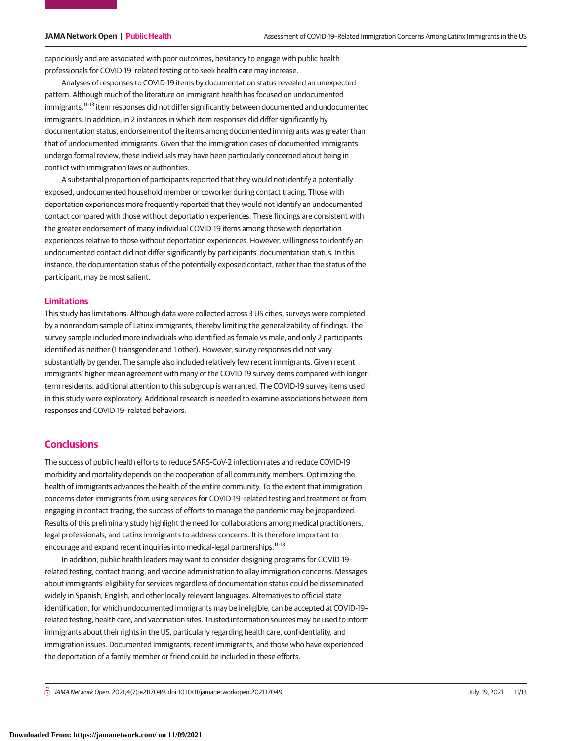capriciously and are associated with poor outcomes, hesitancy to engage with public health professionals for COVID-19–related testing or to seek health care may increase.

Analyses of responses to COVID-19 items by documentation status revealed an unexpected pattern. Although much of the literature on immigrant health has focused on undocumented immigrants,<sup>11-13</sup> item responses did not differ significantly between documented and undocumented immigrants. In addition, in 2 instances in which item responses did differ significantly by documentation status, endorsement of the items among documented immigrants was greater than that of undocumented immigrants. Given that the immigration cases of documented immigrants undergo formal review, these individuals may have been particularly concerned about being in conflict with immigration laws or authorities.

A substantial proportion of participants reported that they would not identify a potentially exposed, undocumented household member or coworker during contact tracing. Those with deportation experiences more frequently reported that they would not identify an undocumented contact compared with those without deportation experiences. These findings are consistent with the greater endorsement of many individual COVID-19 items among those with deportation experiences relative to those without deportation experiences. However, willingness to identify an undocumented contact did not differ significantly by participants' documentation status. In this instance, the documentation status of the potentially exposed contact, rather than the status of the participant, may be most salient.

## **Limitations**

This study has limitations. Although data were collected across 3 US cities, surveys were completed by a nonrandom sample of Latinx immigrants, thereby limiting the generalizability of findings. The survey sample included more individuals who identified as female vs male, and only 2 participants identified as neither (1 transgender and 1 other). However, survey responses did not vary substantially by gender. The sample also included relatively few recent immigrants. Given recent immigrants' higher mean agreement with many of the COVID-19 survey items compared with longerterm residents, additional attention to this subgroup is warranted. The COVID-19 survey items used in this study were exploratory. Additional research is needed to examine associations between item responses and COVID-19–related behaviors.

## **Conclusions**

The success of public health efforts to reduce SARS-CoV-2 infection rates and reduce COVID-19 morbidity and mortality depends on the cooperation of all community members. Optimizing the health of immigrants advances the health of the entire community. To the extent that immigration concerns deter immigrants from using services for COVID-19–related testing and treatment or from engaging in contact tracing, the success of efforts to manage the pandemic may be jeopardized. Results of this preliminary study highlight the need for collaborations among medical practitioners, legal professionals, and Latinx immigrants to address concerns. It is therefore important to encourage and expand recent inquiries into medical-legal partnerships.<sup>11-13</sup>

In addition, public health leaders may want to consider designing programs for COVID-19– related testing, contact tracing, and vaccine administration to allay immigration concerns. Messages about immigrants' eligibility for services regardless of documentation status could be disseminated widely in Spanish, English, and other locally relevant languages. Alternatives to official state identification, for which undocumented immigrants may be ineligible, can be accepted at COVID-19– related testing, health care, and vaccination sites. Trusted information sources may be used to inform immigrants about their rights in the US, particularly regarding health care, confidentiality, and immigration issues. Documented immigrants, recent immigrants, and those who have experienced the deportation of a family member or friend could be included in these efforts.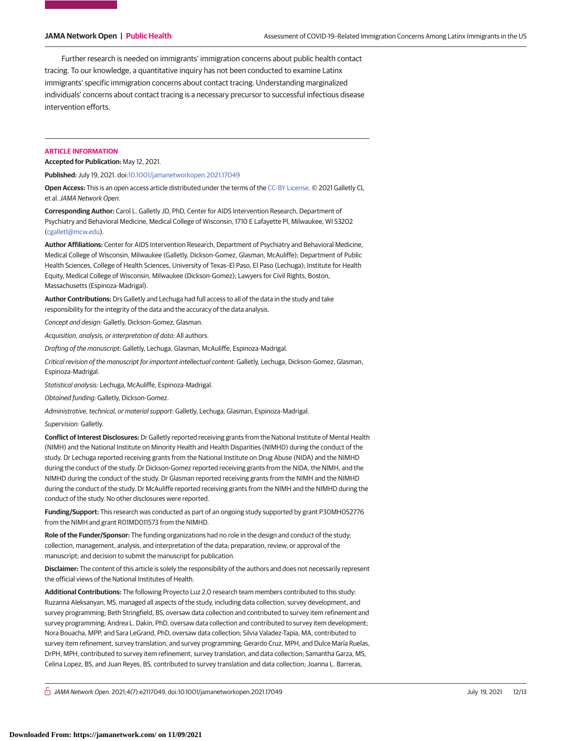Further research is needed on immigrants' immigration concerns about public health contact tracing. To our knowledge, a quantitative inquiry has not been conducted to examine Latinx immigrants' specific immigration concerns about contact tracing. Understanding marginalized individuals' concerns about contact tracing is a necessary precursor to successful infectious disease intervention efforts.

### **ARTICLE INFORMATION**

**Accepted for Publication:** May 12, 2021.

**Published:** July 19, 2021. doi[:10.1001/jamanetworkopen.2021.17049](https://jama.jamanetwork.com/article.aspx?doi=10.1001/jamanetworkopen.2021.17049&utm_campaign=articlePDF%26utm_medium=articlePDFlink%26utm_source=articlePDF%26utm_content=jamanetworkopen.2021.17049)

**Open Access:** This is an open access article distributed under the terms of the [CC-BY License.](https://jamanetwork.com/pages/cc-by-license-permissions/?utm_campaign=articlePDF%26utm_medium=articlePDFlink%26utm_source=articlePDF%26utm_content=jamanetworkopen.2021.17049) © 2021 Galletly CL et al.JAMA Network Open.

**Corresponding Author:** Carol L. Galletly JD, PhD, Center for AIDS Intervention Research, Department of Psychiatry and Behavioral Medicine, Medical College of Wisconsin, 1710 E Lafayette Pl, Milwaukee, WI 53202 [\(cgalletl@mcw.edu\)](mailto:cgalletl@mcw.edu).

**Author Affiliations:** Center for AIDS Intervention Research, Department of Psychiatry and Behavioral Medicine, Medical College of Wisconsin, Milwaukee (Galletly, Dickson-Gomez, Glasman, McAuliffe); Department of Public Health Sciences, College of Health Sciences, University of Texas–El Paso, El Paso (Lechuga); Institute for Health Equity, Medical College of Wisconsin, Milwaukee (Dickson-Gomez); Lawyers for Civil Rights, Boston, Massachusetts (Espinoza-Madrigal).

**Author Contributions:** Drs Galletly and Lechuga had full access to all of the data in the study and take responsibility for the integrity of the data and the accuracy of the data analysis.

Concept and design: Galletly, Dickson-Gomez, Glasman.

Acquisition, analysis, or interpretation of data: All authors.

Drafting of the manuscript: Galletly, Lechuga, Glasman, McAuliffe, Espinoza-Madrigal.

Critical revision of the manuscript for important intellectual content: Galletly, Lechuga, Dickson-Gomez, Glasman, Espinoza-Madrigal.

Statistical analysis: Lechuga, McAuliffe, Espinoza-Madrigal.

Obtained funding: Galletly, Dickson-Gomez.

Administrative, technical, or material support: Galletly, Lechuga, Glasman, Espinoza-Madrigal.

Supervision: Galletly.

**Conflict of Interest Disclosures:** Dr Galletly reported receiving grants from the National Institute of Mental Health (NIMH) and the National Institute on Minority Health and Health Disparities (NIMHD) during the conduct of the study. Dr Lechuga reported receiving grants from the National Institute on Drug Abuse (NIDA) and the NIMHD during the conduct of the study. Dr Dickson-Gomez reported receiving grants from the NIDA, the NIMH, and the NIMHD during the conduct of the study. Dr Glasman reported receiving grants from the NIMH and the NIMHD during the conduct of the study. Dr McAuliffe reported receiving grants from the NIMH and the NIMHD during the conduct of the study. No other disclosures were reported.

**Funding/Support:** This research was conducted as part of an ongoing study supported by grant P30MH052776 from the NIMH and grant R01MD011573 from the NIMHD.

**Role of the Funder/Sponsor:** The funding organizations had no role in the design and conduct of the study; collection, management, analysis, and interpretation of the data; preparation, review, or approval of the manuscript; and decision to submit the manuscript for publication.

**Disclaimer:** The content of this article is solely the responsibility of the authors and does not necessarily represent the official views of the National Institutes of Health.

**Additional Contributions:** The following Proyecto Luz 2.0 research team members contributed to this study: Ruzanna Aleksanyan, MS, managed all aspects of the study, including data collection, survey development, and survey programming; Beth Stringfield, BS, oversaw data collection and contributed to survey item refinement and survey programming; Andrea L. Dakin, PhD, oversaw data collection and contributed to survey item development; Nora Bouacha, MPP, and Sara LeGrand, PhD, oversaw data collection; Silvia Valadez-Tapia, MA, contributed to survey item refinement, survey translation, and survey programming; Gerardo Cruz, MPH, and Dulce María Ruelas, DrPH, MPH, contributed to survey item refinement, survey translation, and data collection; Samantha Garza, MS, Celina Lopez, BS, and Juan Reyes, BS, contributed to survey translation and data collection; Joanna L. Barreras,